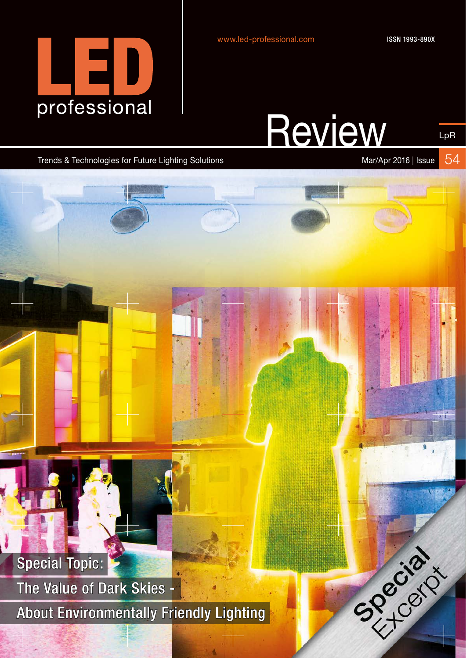

ISSN 1993-890X

# **Review**

LpR

Trends & Technologies for Future Lighting Solutions Mar/Apr 2016 | Issue

54

SPROGIAL

Special Topic:

The Value of Dark Skies - About Environmentally Friendly Lighting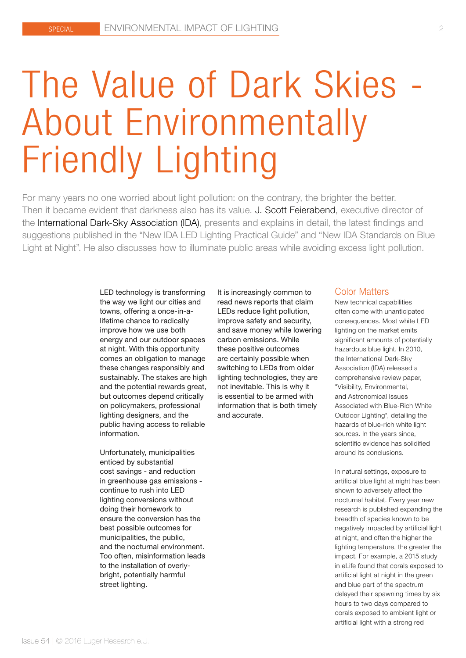# The Value of Dark Skies - About Environmentally Friendly Lighting

For many years no one worried about light pollution: on the contrary, the brighter the better. Then it became evident that darkness also has its value. J. Scott Feierabend, executive director of the International Dark-Sky Association (IDA), presents and explains in detail, the latest findings and suggestions published in the "New IDA LED Lighting Practical Guide" and "New IDA Standards on Blue Light at Night". He also discusses how to illuminate public areas while avoiding excess light pollution.

> LED technology is transforming the way we light our cities and towns, offering a once-in-alifetime chance to radically improve how we use both energy and our outdoor spaces at night. With this opportunity comes an obligation to manage these changes responsibly and sustainably. The stakes are high and the potential rewards great, but outcomes depend critically on policymakers, professional lighting designers, and the public having access to reliable information.

Unfortunately, municipalities enticed by substantial cost savings - and reduction in greenhouse gas emissions continue to rush into LED lighting conversions without doing their homework to ensure the conversion has the best possible outcomes for municipalities, the public, and the nocturnal environment. Too often, misinformation leads to the installation of overlybright, potentially harmful street lighting.

It is increasingly common to read news reports that claim LEDs reduce light pollution, improve safety and security, and save money while lowering carbon emissions. While these positive outcomes are certainly possible when switching to LEDs from older lighting technologies, they are not inevitable. This is why it is essential to be armed with information that is both timely and accurate.

#### Color Matters

New technical capabilities often come with unanticipated consequences. Most white LED lighting on the market emits significant amounts of potentially hazardous blue light. In 2010, the International Dark-Sky Association (IDA) released a comprehensive review paper, "Visibility, Environmental, and Astronomical Issues Associated with Blue-Rich White Outdoor Lighting", detailing the hazards of blue-rich white light sources. In the years since, scientific evidence has solidified around its conclusions.

In natural settings, exposure to artificial blue light at night has been shown to adversely affect the nocturnal habitat. Every year new research is published expanding the breadth of species known to be negatively impacted by artificial light at night, and often the higher the lighting temperature, the greater the impact. For example, a 2015 study in eLife found that corals exposed to artificial light at night in the green and blue part of the spectrum delayed their spawning times by six hours to two days compared to corals exposed to ambient light or artificial light with a strong red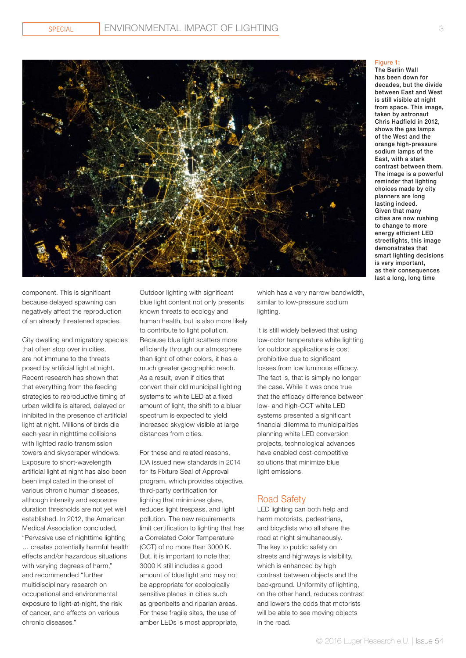

component. This is significant because delayed spawning can negatively affect the reproduction of an already threatened species.

City dwelling and migratory species that often stop over in cities, are not immune to the threats posed by artificial light at night. Recent research has shown that that everything from the feeding strategies to reproductive timing of urban wildlife is altered, delayed or inhibited in the presence of artificial light at night. Millions of birds die each year in nighttime collisions with lighted radio transmission towers and skyscraper windows. Exposure to short-wavelength artificial light at night has also been been implicated in the onset of various chronic human diseases, although intensity and exposure duration thresholds are not yet well established. In 2012, the American Medical Association concluded, "Pervasive use of nighttime lighting

… creates potentially harmful health effects and/or hazardous situations with varying degrees of harm," and recommended "further multidisciplinary research on occupational and environmental exposure to light-at-night, the risk of cancer, and effects on various chronic diseases."

Outdoor lighting with significant blue light content not only presents known threats to ecology and human health, but is also more likely to contribute to light pollution. Because blue light scatters more efficiently through our atmosphere than light of other colors, it has a much greater geographic reach. As a result, even if cities that convert their old municipal lighting systems to white LED at a fixed amount of light, the shift to a bluer spectrum is expected to yield increased skyglow visible at large distances from cities.

For these and related reasons, IDA issued new standards in 2014 for its Fixture Seal of Approval program, which provides objective, third-party certification for lighting that minimizes glare, reduces light trespass, and light pollution. The new requirements limit certification to lighting that has a Correlated Color Temperature (CCT) of no more than 3000 K. But, it is important to note that 3000 K still includes a good amount of blue light and may not be appropriate for ecologically sensitive places in cities such as greenbelts and riparian areas. For these fragile sites, the use of amber LEDs is most appropriate,

which has a very narrow bandwidth, similar to low-pressure sodium lighting.

It is still widely believed that using low-color temperature white lighting for outdoor applications is cost prohibitive due to significant losses from low luminous efficacy. The fact is, that is simply no longer the case. While it was once true that the efficacy difference between low- and high-CCT white LED systems presented a significant financial dilemma to municipalities planning white LED conversion projects, technological advances have enabled cost-competitive solutions that minimize blue light emissions.

### Road Safety

LED lighting can both help and harm motorists, pedestrians, and bicyclists who all share the road at night simultaneously. The key to public safety on streets and highways is visibility, which is enhanced by high contrast between objects and the background. Uniformity of lighting, on the other hand, reduces contrast and lowers the odds that motorists will be able to see moving objects in the road.

#### Figure 1:

The Berlin Wall has been down for decades, but the divide between East and West is still visible at night from space. This image, taken by astronaut Chris Hadfield in 2012, shows the gas lamps of the West and the orange high-pressure sodium lamps of the East, with a stark contrast between them. The image is a powerful reminder that lighting choices made by city planners are long lasting indeed. Given that many cities are now rushing to change to more energy efficient LED streetlights, this image demonstrates that smart lighting decisions is very important, as their consequences last a long, long time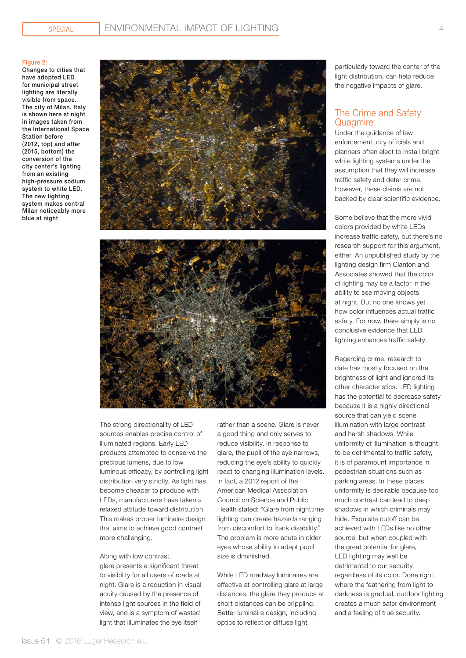#### Figure 2:

Changes to cities that have adopted LED for municipal street lighting are literally visible from space. The city of Milan, Italy is shown here at night in images taken from the International Space Station before (2012, top) and after (2015, bottom) the conversion of the city center's lighting from an existing high-pressure sodium system to white LED. The new lighting system makes central Milan noticeably more blue at night





The strong directionality of LED sources enables precise control of illuminated regions. Early LED products attempted to conserve the precious lumens, due to low luminous efficacy, by controlling light distribution very strictly. As light has become cheaper to produce with LEDs, manufacturers have taken a relaxed attitude toward distribution. This makes proper luminaire design that aims to achieve good contrast more challenging.

#### Along with low contrast,

glare presents a significant threat to visibility for all users of roads at night. Glare is a reduction in visual acuity caused by the presence of intense light sources in the field of view, and is a symptom of wasted light that illuminates the eye itself

rather than a scene. Glare is never a good thing and only serves to reduce visibility. In response to glare, the pupil of the eye narrows, reducing the eye's ability to quickly react to changing illumination levels. In fact, a 2012 report of the American Medical Association Council on Science and Public Health stated: "Glare from nighttime lighting can create hazards ranging from discomfort to frank disability." The problem is more acute in older eyes whose ability to adapt pupil size is diminished.

While LED roadway luminaires are effective at controlling glare at large distances, the glare they produce at short distances can be crippling. Better luminaire design, including optics to reflect or diffuse light,

particularly toward the center of the light distribution, can help reduce the negative impacts of glare.

### The Crime and Safety Quagmire

Under the guidance of law enforcement, city officials and planners often elect to install bright white lighting systems under the assumption that they will increase traffic safety and deter crime. However, these claims are not backed by clear scientific evidence.

Some believe that the more vivid colors provided by white LEDs increase traffic safety, but there's no research support for this argument, either. An unpublished study by the lighting design firm Clanton and Associates showed that the color of lighting may be a factor in the ability to see moving objects at night. But no one knows yet how color influences actual traffic safety. For now, there simply is no conclusive evidence that LED lighting enhances traffic safety.

Regarding crime, research to date has mostly focused on the brightness of light and ignored its other characteristics. LED lighting has the potential to decrease safety because it is a highly directional source that can yield scene illumination with large contrast and harsh shadows. While uniformity of illumination is thought to be detrimental to traffic safety, it is of paramount importance in pedestrian situations such as parking areas. In these places, uniformity is desirable because too much contrast can lead to deep shadows in which criminals may hide. Exquisite cutoff can be achieved with LEDs like no other source, but when coupled with the great potential for glare, LED lighting may well be detrimental to our security regardless of its color. Done right, where the feathering from light to darkness is gradual, outdoor lighting creates a much safer environment and a feeling of true security.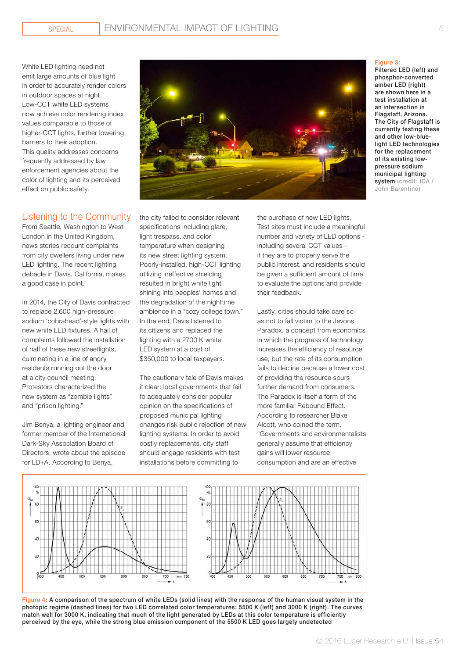White LED lighting need not emit large amounts of blue light in order to accurately render colors in outdoor spaces at night. Low-CCT white LED systems now achieve color rendering index values comparable to those of higher-CCT lights, further lowering barriers to their adoption. This quality addresses concerns frequently addressed by law enforcement agencies about the color of lighting and its perceived effect on public safety.

## Listening to the Community

From Seattle, Washington to West London in the United Kingdom, news stories recount complaints from city dwellers living under new LED lighting. The recent lighting debacle in Davis, California, makes a good case in point.

In 2014, the City of Davis contracted to replace 2,600 high-pressure sodium 'cobrahead'-style lights with new white LED fixtures. A hail of complaints followed the installation of half of these new streetlights, culminating in a line of angry residents running out the door at a city council meeting. Protestors characterized the new system as "zombie lights" and "prison lighting."

Jim Benya, a lighting engineer and former member of the International Dark-Sky Association Board of Directors, wrote about the episode for LD+A. According to Benya,



the city failed to consider relevant specifications including glare, light trespass, and color temperature when designing its new street lighting system. Poorly-installed, high-CCT lighting utilizing ineffective shielding resulted in bright white light shining into peoples' homes and the degradation of the nighttime ambience in a "cozy college town." In the end, Davis listened to its citizens and replaced the lighting with a 2700 K white LED system at a cost of \$350,000 to local taxpayers.

The cautionary tale of Davis makes it clear: local governments that fail to adequately consider popular opinion on the specifications of proposed municipal lighting changes risk public rejection of new lighting systems. In order to avoid costly replacements, city staff should engage residents with test installations before committing to

the purchase of new LED lights. Test sites must include a meaningful number and variety of LED options including several CCT values if they are to properly serve the public interest, and residents should be given a sufficient amount of time to evaluate the options and provide their feedback.

Lastly, cities should take care so as not to fall victim to the Jevons Paradox, a concept from economics in which the progress of technology increases the efficiency of resource use, but the rate of its consumption fails to decline because a lower cost of providing the resource spurs further demand from consumers. The Paradox is itself a form of the more familiar Rebound Effect. According to researcher Blake Alcott, who coined the term, "Governments and environmentalists generally assume that efficiency gains will lower resource consumption and are an effective



Figure 4: A comparison of the spectrum of white LEDs (solid lines) with the response of the human visual system in the photopic regime (dashed lines) for two LED correlated color temperatures: 5500 K (left) and 3000 K (right). The curves match well for 3000 K, indicating that much of the light generated by LEDs at this color temperature is efficiently perceived by the eye, while the strong blue emission component of the 5500 K LED goes largely undetected

#### Figure 3:

Filtered LED (left) and phosphor-converted amber LED (right) are shown here in a test installation at an intersection in Flagstaff, Arizona. The City of Flagstaff is currently testing these and other low-bluelight LED technologies for the replacement of its existing lowpressure sodium municipal lighting system (credit: IDA / John Barentine)